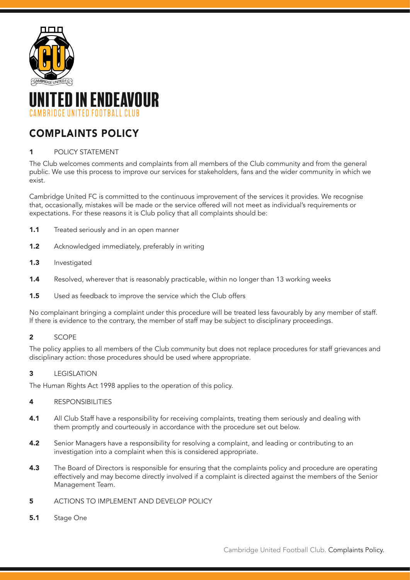



# COMPLAINTS POLICY

## 1 POLICY STATEMENT

The Club welcomes comments and complaints from all members of the Club community and from the general public. We use this process to improve our services for stakeholders, fans and the wider community in which we exist.

Cambridge United FC is committed to the continuous improvement of the services it provides. We recognise that, occasionally, mistakes will be made or the service offered will not meet as individual's requirements or expectations. For these reasons it is Club policy that all complaints should be:

- **1.1** Treated seriously and in an open manner
- 1.2 Acknowledged immediately, preferably in writing
- 1.3 Investigated
- **1.4** Resolved, wherever that is reasonably practicable, within no longer than 13 working weeks
- **1.5** Used as feedback to improve the service which the Club offers

No complainant bringing a complaint under this procedure will be treated less favourably by any member of staff. If there is evidence to the contrary, the member of staff may be subject to disciplinary proceedings.

## 2 SCOPE

The policy applies to all members of the Club community but does not replace procedures for staff grievances and disciplinary action: those procedures should be used where appropriate.

## 3 **LEGISLATION**

The Human Rights Act 1998 applies to the operation of this policy.

#### 4 RESPONSIBILITIES

- 4.1 All Club Staff have a responsibility for receiving complaints, treating them seriously and dealing with them promptly and courteously in accordance with the procedure set out below.
- 4.2 Senior Managers have a responsibility for resolving a complaint, and leading or contributing to an investigation into a complaint when this is considered appropriate.
- 4.3 The Board of Directors is responsible for ensuring that the complaints policy and procedure are operating effectively and may become directly involved if a complaint is directed against the members of the Senior Management Team.
- 5 ACTIONS TO IMPLEMENT AND DEVELOP POLICY
- 5.1 Stage One